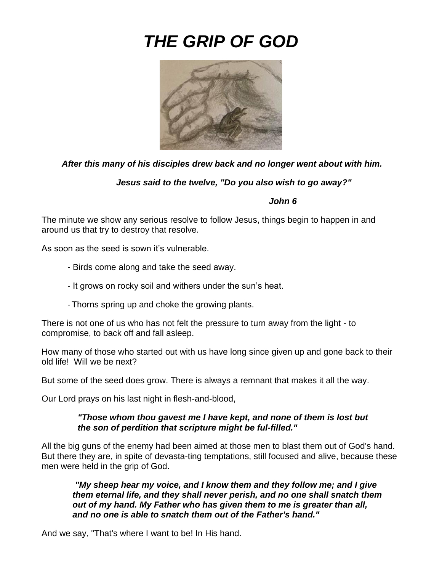# *THE GRIP OF GOD*



## *After this many of his disciples drew back and no longer went about with him.*

*Jesus said to the twelve, "Do you also wish to go away?"*

#### *John 6*

The minute we show any serious resolve to follow Jesus, things begin to happen in and around us that try to destroy that resolve.

As soon as the seed is sown it's vulnerable.

- Birds come along and take the seed away.
- It grows on rocky soil and withers under the sun's heat.
- -Thorns spring up and choke the growing plants.

There is not one of us who has not felt the pressure to turn away from the light - to compromise, to back off and fall asleep.

How many of those who started out with us have long since given up and gone back to their old life! Will we be next?

But some of the seed does grow. There is always a remnant that makes it all the way.

Our Lord prays on his last night in flesh-and-blood,

#### *"Those whom thou gavest me I have kept, and none of them is lost but the son of perdition that scripture might be ful-filled."*

All the big guns of the enemy had been aimed at those men to blast them out of God's hand. But there they are, in spite of devasta-ting temptations, still focused and alive, because these men were held in the grip of God.

*"My sheep hear my voice, and I know them and they follow me; and I give them eternal life, and they shall never perish, and no one shall snatch them out of my hand. My Father who has given them to me is greater than all, and no one is able to snatch them out of the Father's hand."*

And we say, "That's where I want to be! In His hand.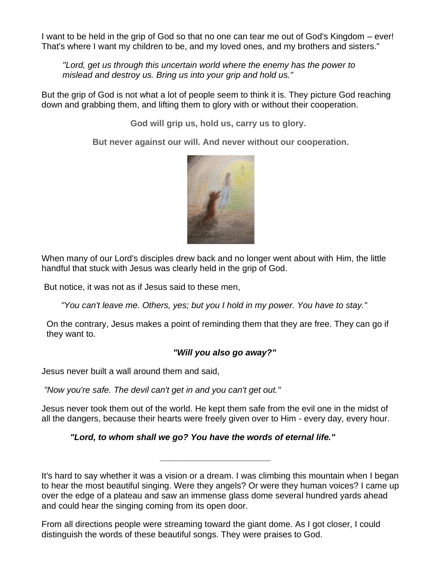I want to be held in the grip of God so that no one can tear me out of God's Kingdom – ever! That's where I want my children to be, and my loved ones, and my brothers and sisters."

*"Lord, get us through this uncertain world where the enemy has the power to mislead and destroy us. Bring us into your grip and hold us."*

But the grip of God is not what a lot of people seem to think it is. They picture God reaching down and grabbing them, and lifting them to glory with or without their cooperation.

**God will grip us, hold us, carry us to glory.**

**But never against our will. And never without our cooperation.**



When many of our Lord's disciples drew back and no longer went about with Him, the little handful that stuck with Jesus was clearly held in the grip of God.

But notice, it was not as if Jesus said to these men,

*"You can't leave me. Others, yes; but you I hold in my power. You have to stay."*

On the contrary, Jesus makes a point of reminding them that they are free. They can go if they want to.

#### *"Will you also go away?"*

Jesus never built a wall around them and said,

*"Now you're safe. The devil can't get in and you can't get out."*

Jesus never took them out of the world. He kept them safe from the evil one in the midst of all the dangers, because their hearts were freely given over to Him - every day, every hour.

*\_\_\_\_\_\_\_\_\_\_\_\_\_\_\_\_\_\_\_\_\_\_\_*

*"Lord, to whom shall we go? You have the words of eternal life."*

It's hard to say whether it was a vision or a dream. I was climbing this mountain when I began to hear the most beautiful singing. Were they angels? Or were they human voices? I came up over the edge of a plateau and saw an immense glass dome several hundred yards ahead and could hear the singing coming from its open door.

From all directions people were streaming toward the giant dome. As I got closer, I could distinguish the words of these beautiful songs. They were praises to God.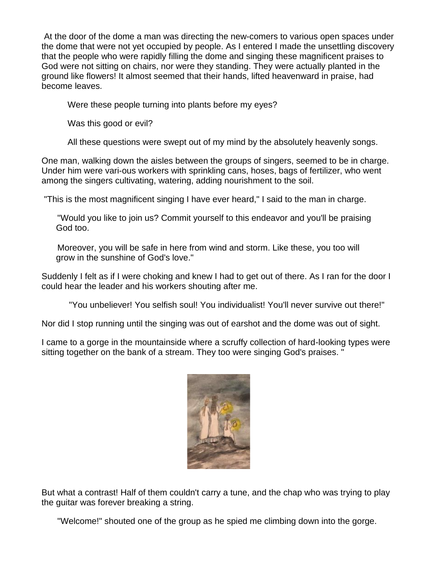At the door of the dome a man was directing the new-comers to various open spaces under the dome that were not yet occupied by people. As I entered I made the unsettling discovery that the people who were rapidly filling the dome and singing these magnificent praises to God were not sitting on chairs, nor were they standing. They were actually planted in the ground like flowers! It almost seemed that their hands, lifted heavenward in praise, had become leaves.

Were these people turning into plants before my eyes?

Was this good or evil?

All these questions were swept out of my mind by the absolutely heavenly songs.

One man, walking down the aisles between the groups of singers, seemed to be in charge. Under him were vari-ous workers with sprinkling cans, hoses, bags of fertilizer, who went among the singers cultivating, watering, adding nourishment to the soil.

"This is the most magnificent singing I have ever heard," I said to the man in charge.

"Would you like to join us? Commit yourself to this endeavor and you'll be praising God too.

Moreover, you will be safe in here from wind and storm. Like these, you too will grow in the sunshine of God's love."

Suddenly I felt as if I were choking and knew I had to get out of there. As I ran for the door I could hear the leader and his workers shouting after me.

"You unbeliever! You selfish soul! You individualist! You'll never survive out there!"

Nor did I stop running until the singing was out of earshot and the dome was out of sight.

I came to a gorge in the mountainside where a scruffy collection of hard-looking types were sitting together on the bank of a stream. They too were singing God's praises. "



But what a contrast! Half of them couldn't carry a tune, and the chap who was trying to play the guitar was forever breaking a string.

"Welcome!" shouted one of the group as he spied me climbing down into the gorge.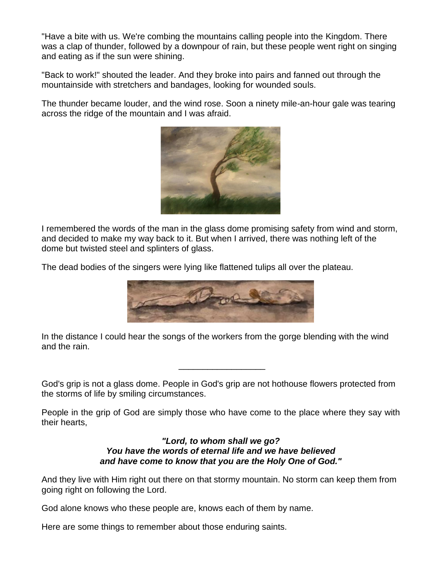"Have a bite with us. We're combing the mountains calling people into the Kingdom. There was a clap of thunder, followed by a downpour of rain, but these people went right on singing and eating as if the sun were shining.

"Back to work!" shouted the leader. And they broke into pairs and fanned out through the mountainside with stretchers and bandages, looking for wounded souls.

The thunder became louder, and the wind rose. Soon a ninety mile-an-hour gale was tearing across the ridge of the mountain and I was afraid.



I remembered the words of the man in the glass dome promising safety from wind and storm, and decided to make my way back to it. But when I arrived, there was nothing left of the dome but twisted steel and splinters of glass.

The dead bodies of the singers were lying like flattened tulips all over the plateau.



In the distance I could hear the songs of the workers from the gorge blending with the wind and the rain.

God's grip is not a glass dome. People in God's grip are not hothouse flowers protected from the storms of life by smiling circumstances.

\_\_\_\_\_\_\_\_\_\_\_\_\_\_\_\_\_\_

People in the grip of God are simply those who have come to the place where they say with their hearts,

> *"Lord, to whom shall we go? You have the words of eternal life and we have believed and have come to know that you are the Holy One of God."*

And they live with Him right out there on that stormy mountain. No storm can keep them from going right on following the Lord.

God alone knows who these people are, knows each of them by name.

Here are some things to remember about those enduring saints.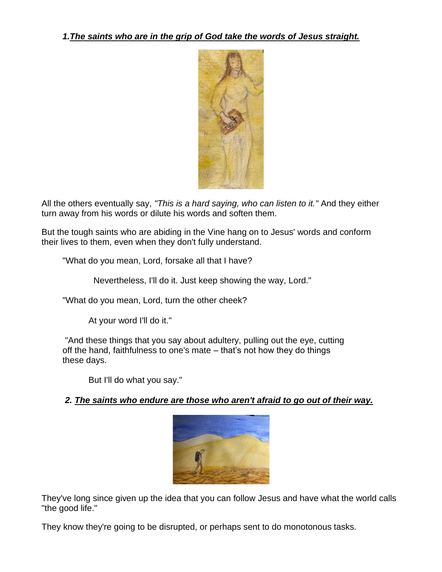

All the others eventually say, *"This is a hard saying, who can listen to it."* And they either turn away from his words or dilute his words and soften them.

But the tough saints who are abiding in the Vine hang on to Jesus' words and conform their lives to them, even when they don't fully understand.

"What do you mean, Lord, forsake all that I have?

Nevertheless, I'll do it. Just keep showing the way, Lord."

"What do you mean, Lord, turn the other cheek?

At your word I'll do it."

"And these things that you say about adultery, pulling out the eye, cutting off the hand, faithfulness to one's mate – that's not how they do things these days.

But I'll do what you say."

#### *2. The saints who endure are those who aren't afraid to go out of their way.*



They've long since given up the idea that you can follow Jesus and have what the world calls "the good life."

They know they're going to be disrupted, or perhaps sent to do monotonous tasks.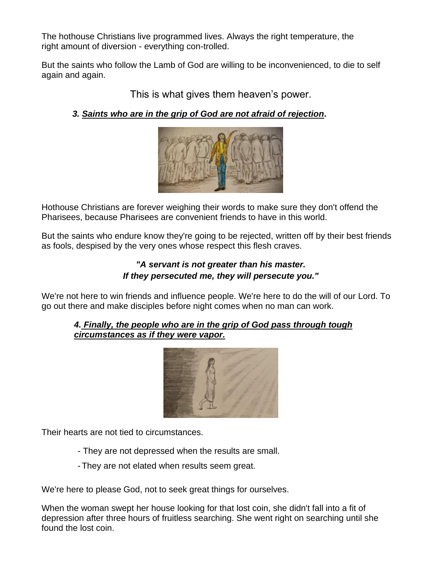The hothouse Christians live programmed lives. Always the right temperature, the right amount of diversion - everything con-trolled.

But the saints who follow the Lamb of God are willing to be inconvenienced, to die to self again and again.

This is what gives them heaven's power.

*3. Saints who are in the grip of God are not afraid of rejection***.**



Hothouse Christians are forever weighing their words to make sure they don't offend the Pharisees, because Pharisees are convenient friends to have in this world.

But the saints who endure know they're going to be rejected, written off by their best friends as fools, despised by the very ones whose respect this flesh craves.

# *"A servant is not greater than his master. If they persecuted me, they will persecute you."*

We're not here to win friends and influence people. We're here to do the will of our Lord. To go out there and make disciples before night comes when no man can work.

### *4. Finally, the people who are in the grip of God pass through tough circumstances as if they were vapor.*



Their hearts are not tied to circumstances.

- They are not depressed when the results are small.
- -They are not elated when results seem great.

We're here to please God, not to seek great things for ourselves.

When the woman swept her house looking for that lost coin, she didn't fall into a fit of depression after three hours of fruitless searching. She went right on searching until she found the lost coin.